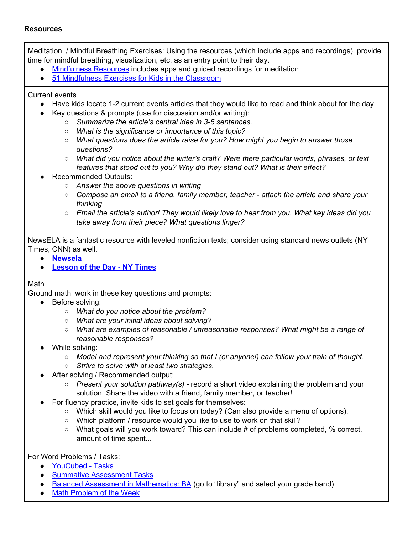#### **Resources**

Meditation / Mindful Breathing Exercises: Using the resources (which include apps and recordings), provide time for mindful breathing, visualization, etc. as an entry point to their day.

- [Mindfulness](http://mindfulnessforteens.com/resources/) Resources includes apps and guided recordings for meditation
- 51 [Mindfulness](https://www.waterford.org/resources/mindfulnes-activities-for-kids/) Exercises for Kids in the Classroom

#### Current events

- Have kids locate 1-2 current events articles that they would like to read and think about for the day.
- Key questions & prompts (use for discussion and/or writing):
	- *Summarize the article's central idea in 3-5 sentences.*
	- *What is the significance or importance of this topic?*
	- *What questions does the article raise for you? How might you begin to answer those questions?*
	- *What did you notice about the writer's craft? Were there particular words, phrases, or text features that stood out to you? Why did they stand out? What is their effect?*
- Recommended Outputs:
	- *Answer the above questions in writing*
	- *Compose an email to a friend, family member, teacher - attach the article and share your thinking*
	- *Email the article's author! They would likely love to hear from you. What key ideas did you take away from their piece? What questions linger?*

NewsELA is a fantastic resource with leveled nonfiction texts; consider using standard news outlets (NY Times, CNN) as well.

- **[Newsela](https://newsela.com/about/distance-learning/)**
- **[Lesson](https://www.nytimes.com/column/learning-article-of-the-day) of the Day - NY Times**

#### Math

Ground math work in these key questions and prompts:

- Before solving:
	- *What do you notice about the problem?*
	- *What are your initial ideas about solving?*
	- *What are examples of reasonable / unreasonable responses? What might be a range of reasonable responses?*
- While solving:
	- *Model and represent your thinking so that I (or anyone!) can follow your train of thought.*
	- *Strive to solve with at least two strategies.*
- After solving / Recommended output:
	- *Present your solution pathway(s) -* record a short video explaining the problem and your solution. Share the video with a friend, family member, or teacher!
- For fluency practice, invite kids to set goals for themselves:
	- $\circ$  Which skill would you like to focus on today? (Can also provide a menu of options).
	- Which platform / resource would you like to use to work on that skill?
	- What goals will you work toward? This can include # of problems completed, % correct, amount of time spent...

For Word Problems / Tasks:

- [YouCubed](https://www.youcubed.org/tasks/) Tasks
- Summative [Assessment](https://www.map.mathshell.org/tasks.php) Tasks
- Balanced Assessment in [Mathematics:](https://hgse.balancedassessment.org/index.html) BA (go to "library" and select your grade band)
- Math [Problem](https://www.mathgoodies.com/problems) of the Week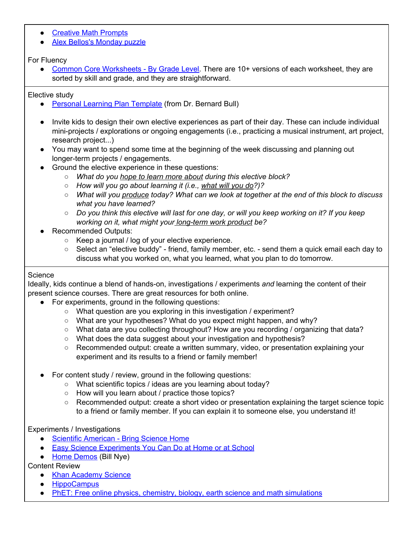- [Creative](http://www.5280math.com/noticing-and-wondering/) Math Prompts
- Alex Bellos's [Monday](https://www.theguardian.com/science/series/alex-bellos-monday-puzzle) puzzle

# For Fluency

● Common Core [Worksheets](https://www.commoncoresheets.com/SortedByGrade.php) - By Grade Level. There are 10+ versions of each worksheet, they are sorted by skill and grade, and they are straightforward.

### Elective study

- Personal Learning Plan [Template](https://docs.google.com/document/d/1mHCDgMq1eIkaJIx8xmF_Ftx4D9wzqsc80jc-7tFtoHs/edit) (from Dr. Bernard Bull)
- Invite kids to design their own elective experiences as part of their day. These can include individual mini-projects / explorations or ongoing engagements (i.e., practicing a musical instrument, art project, research project...)
- You may want to spend some time at the beginning of the week discussing and planning out longer-term projects / engagements.
- Ground the elective experience in these questions:
	- *What do you hope to learn more about during this elective block?*
	- *How will you go about learning it (i.e., what will you do?)?*
	- o What will you produce today? What can we look at together at the end of this block to discuss *what you have learned?*
	- $\circ$  Do you think this elective will last for one day, or will you keep working on it? If you keep *working on it, what might your long-term work product be?*
- **Recommended Outputs:** 
	- Keep a journal / log of your elective experience.
	- Select an "elective buddy" friend, family member, etc. send them a quick email each day to discuss what you worked on, what you learned, what you plan to do tomorrow.

### **Science**

Ideally, kids continue a blend of hands-on, investigations / experiments *and* learning the content of their present science courses. There are great resources for both online.

- For experiments, ground in the following questions:
	- What question are you exploring in this investigation / experiment?
	- What are your hypotheses? What do you expect might happen, and why?
	- What data are you collecting throughout? How are you recording / organizing that data?
	- What does the data suggest about your investigation and hypothesis?
	- Recommended output: create a written summary, video, or presentation explaining your experiment and its results to a friend or family member!
- For content study / review, ground in the following questions:
	- What scientific topics / ideas are you learning about today?
	- How will you learn about / practice those topics?
	- Recommended output: create a short video or presentation explaining the target science topic to a friend or family member. If you can explain it to someone else, you understand it!

# Experiments / Investigations

- Scientific [American](https://www.scientificamerican.com/education/bring-science-home/) Bring Science Home
- Easy Science [Experiments](https://sciencebob.com/category/experiments/) You Can Do at Home or at School
- Home [Demos](https://billnye.com/home-demos) (Bill Nye)

Content Review

- Khan [Academy](https://www.khanacademy.org/science) Science
- [HippoCampus](https://www.hippocampus.org/)
- PhET: Free online physics, chemistry, biology, earth science and math [simulations](https://phet.colorado.edu/)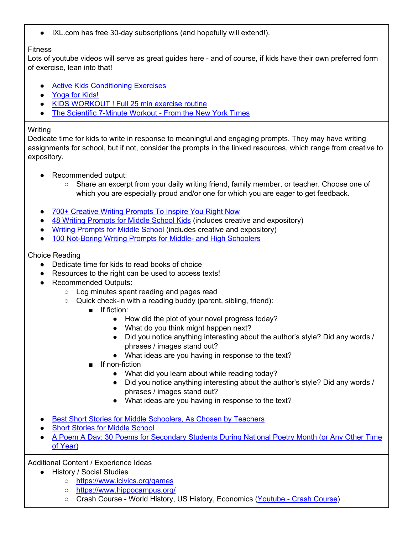● IXL.com has free 30-day subscriptions (and hopefully will extend!).

#### Fitness

Lots of youtube videos will serve as great guides here - and of course, if kids have their own preferred form of exercise, lean into that!

- Active Kids [Conditioning](https://www.activekids.com/fitness/articles/full-body-conditioning-exercises-for-kids/slide-5) Exercises
- [Yoga](https://www.youtube.com/watch?v=X655B4ISakg) for Kids!
- KIDS [WORKOUT](https://www.youtube.com/watch?v=dhCM0C6GnrY) ! Full 25 min exercise routine
- The [Scientific](https://www.youtube.com/watch?v=2sezktSxLt8) 7-Minute Workout From the New York Times

### **Writing**

Dedicate time for kids to write in response to meaningful and engaging prompts. They may have writing assignments for school, but if not, consider the prompts in the linked resources, which range from creative to expository.

- Recommended output:
	- Share an excerpt from your daily writing friend, family member, or teacher. Choose one of which you are especially proud and/or one for which you are eager to get feedback.
- 700+ [Creative](https://blog.reedsy.com/creative-writing-prompts/) Writing Prompts To Inspire You Right Now
- 48 Writing [Prompts](https://www.dailywritingtips.com/48-writing-prompts-middle-school/) for Middle School Kids (includes creative and expository)
- Writing [Prompts](https://my.hrw.com/support/hos/hostpdf/hostmsprompts.pdf) for Middle School (includes creative and expository)
- 100 [Not-Boring](http://smallworldathome.blogspot.com/2014/12/100-not-boring-writing-prompts-for.html) Writing Prompts for Middle- and High Schoolers

# Choice Reading

- Dedicate time for kids to read books of choice
- Resources to the right can be used to access texts!
- Recommended Outputs:
	- Log minutes spent reading and pages read
	- Quick check-in with a reading buddy (parent, sibling, friend):
		- If fiction:
			- How did the plot of your novel progress today?
			- What do you think might happen next?
			- Did you notice anything interesting about the author's style? Did any words / phrases / images stand out?
			- What ideas are you having in response to the text?
		- If non-fiction
			- What did you learn about while reading today?
			- Did you notice anything interesting about the author's style? Did any words / phrases / images stand out?
			- What ideas are you having in response to the text?
- Best Short Stories for Middle [Schoolers,](https://www.weareteachers.com/best-short-stories-for-middle-schoolers/) As Chosen by Teachers
- Short [Stories](https://americanliterature.com/middle-school-short-stories) for Middle School
- A Poem A Day: 30 Poems for [Secondary](https://www.theliterarymaven.com/2016/04/National-Poetry-Month-middle-school-high-school.html) Students During National Poetry Month (or Any Other Time of [Year\)](https://www.theliterarymaven.com/2016/04/National-Poetry-Month-middle-school-high-school.html)

Additional Content / Experience Ideas

- History / Social Studies
	- <https://www.icivics.org/games>
	- <https://www.hippocampus.org/>
	- Crash Course World History, US History, Economics [\(Youtube](https://www.youtube.com/user/crashcourse/playlists) Crash Course)